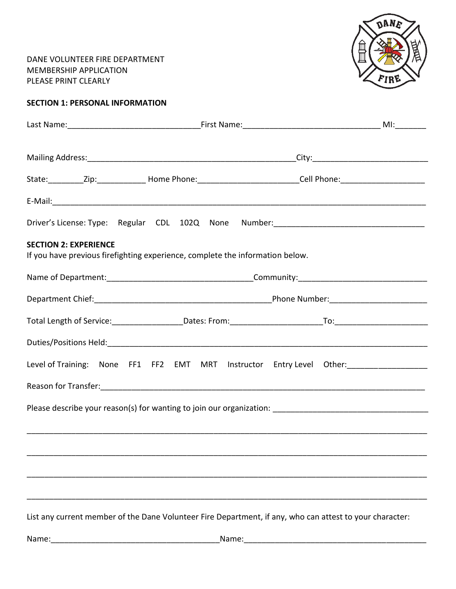DANE VOLUNTEER FIRE DEPARTMENT MEMBERSHIP APPLICATION PLEASE PRINT CLEARLY



| <b>SECTION 1: PERSONAL INFORMATION</b> |  |  |  |  |
|----------------------------------------|--|--|--|--|
|----------------------------------------|--|--|--|--|

|                                                                                                               |  |  | State: ___________Zip: ________________Home Phone: ____________________________Cell Phone: ___________________ |  |  |  |
|---------------------------------------------------------------------------------------------------------------|--|--|----------------------------------------------------------------------------------------------------------------|--|--|--|
|                                                                                                               |  |  |                                                                                                                |  |  |  |
|                                                                                                               |  |  | Driver's License: Type: Regular CDL 102Q None Number: ___________________________                              |  |  |  |
| <b>SECTION 2: EXPERIENCE</b><br>If you have previous firefighting experience, complete the information below. |  |  |                                                                                                                |  |  |  |
|                                                                                                               |  |  |                                                                                                                |  |  |  |
|                                                                                                               |  |  |                                                                                                                |  |  |  |
|                                                                                                               |  |  |                                                                                                                |  |  |  |
|                                                                                                               |  |  |                                                                                                                |  |  |  |
|                                                                                                               |  |  | Level of Training: None FF1 FF2 EMT MRT Instructor Entry Level Other: _________________                        |  |  |  |
|                                                                                                               |  |  |                                                                                                                |  |  |  |
|                                                                                                               |  |  |                                                                                                                |  |  |  |
|                                                                                                               |  |  |                                                                                                                |  |  |  |
|                                                                                                               |  |  |                                                                                                                |  |  |  |
|                                                                                                               |  |  |                                                                                                                |  |  |  |
|                                                                                                               |  |  |                                                                                                                |  |  |  |
|                                                                                                               |  |  |                                                                                                                |  |  |  |

List any current member of the Dane Volunteer Fire Department, if any, who can attest to your character: